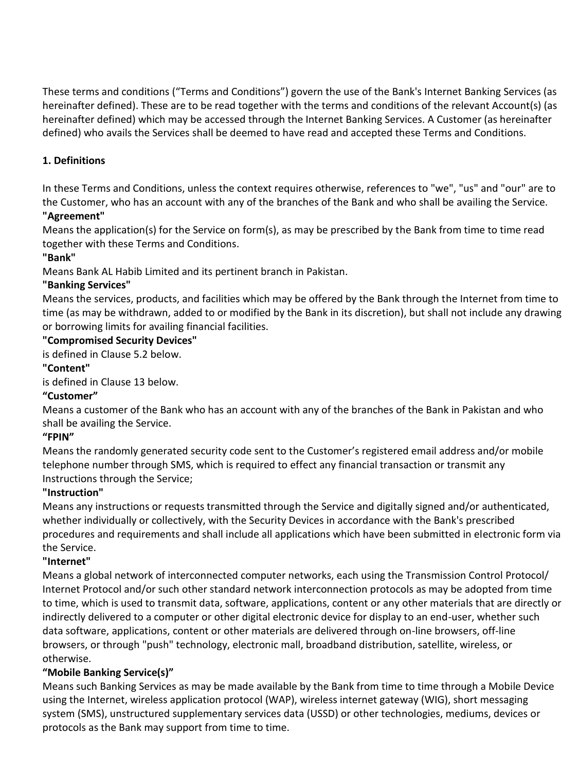These terms and conditions ("Terms and Conditions") govern the use of the Bank's Internet Banking Services (as hereinafter defined). These are to be read together with the terms and conditions of the relevant Account(s) (as hereinafter defined) which may be accessed through the Internet Banking Services. A Customer (as hereinafter defined) who avails the Services shall be deemed to have read and accepted these Terms and Conditions.

# **1. Definitions**

In these Terms and Conditions, unless the context requires otherwise, references to "we", "us" and "our" are to the Customer, who has an account with any of the branches of the Bank and who shall be availing the Service.

## **"Agreement"**

Means the application(s) for the Service on form(s), as may be prescribed by the Bank from time to time read together with these Terms and Conditions.

## **"Bank"**

Means Bank AL Habib Limited and its pertinent branch in Pakistan.

## **"Banking Services"**

Means the services, products, and facilities which may be offered by the Bank through the Internet from time to time (as may be withdrawn, added to or modified by the Bank in its discretion), but shall not include any drawing or borrowing limits for availing financial facilities.

### **"Compromised Security Devices"**

is defined in Clause 5.2 below.

## **"Content"**

is defined in Clause 13 below.

## **"Customer"**

Means a customer of the Bank who has an account with any of the branches of the Bank in Pakistan and who shall be availing the Service.

## **"FPIN"**

Means the randomly generated security code sent to the Customer's registered email address and/or mobile telephone number through SMS, which is required to effect any financial transaction or transmit any Instructions through the Service;

## **"Instruction"**

Means any instructions or requests transmitted through the Service and digitally signed and/or authenticated, whether individually or collectively, with the Security Devices in accordance with the Bank's prescribed procedures and requirements and shall include all applications which have been submitted in electronic form via the Service.

## **"Internet"**

Means a global network of interconnected computer networks, each using the Transmission Control Protocol/ Internet Protocol and/or such other standard network interconnection protocols as may be adopted from time to time, which is used to transmit data, software, applications, content or any other materials that are directly or indirectly delivered to a computer or other digital electronic device for display to an end-user, whether such data software, applications, content or other materials are delivered through on-line browsers, off-line browsers, or through "push" technology, electronic mall, broadband distribution, satellite, wireless, or otherwise.

## **"Mobile Banking Service(s)"**

Means such Banking Services as may be made available by the Bank from time to time through a Mobile Device using the Internet, wireless application protocol (WAP), wireless internet gateway (WIG), short messaging system (SMS), unstructured supplementary services data (USSD) or other technologies, mediums, devices or protocols as the Bank may support from time to time.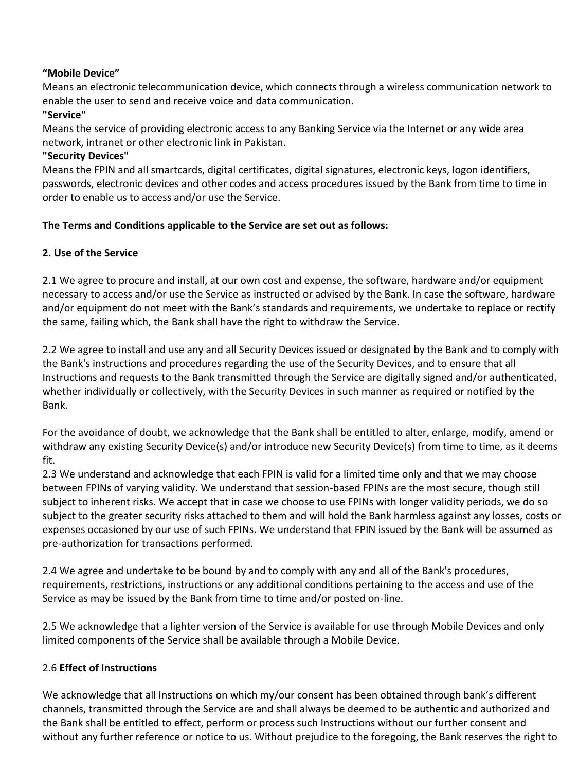## **"Mobile Device"**

Means an electronic telecommunication device, which connects through a wireless communication network to enable the user to send and receive voice and data communication.

# **"Service"**

Means the service of providing electronic access to any Banking Service via the Internet or any wide area network, intranet or other electronic link in Pakistan.

#### **"Security Devices"**

Means the FPIN and all smartcards, digital certificates, digital signatures, electronic keys, logon identifiers, passwords, electronic devices and other codes and access procedures issued by the Bank from time to time in order to enable us to access and/or use the Service.

### **The Terms and Conditions applicable to the Service are set out as follows:**

## **2. Use of the Service**

2.1 We agree to procure and install, at our own cost and expense, the software, hardware and/or equipment necessary to access and/or use the Service as instructed or advised by the Bank. In case the software, hardware and/or equipment do not meet with the Bank's standards and requirements, we undertake to replace or rectify the same, failing which, the Bank shall have the right to withdraw the Service.

2.2 We agree to install and use any and all Security Devices issued or designated by the Bank and to comply with the Bank's instructions and procedures regarding the use of the Security Devices, and to ensure that all Instructions and requests to the Bank transmitted through the Service are digitally signed and/or authenticated, whether individually or collectively, with the Security Devices in such manner as required or notified by the Bank.

For the avoidance of doubt, we acknowledge that the Bank shall be entitled to alter, enlarge, modify, amend or withdraw any existing Security Device(s) and/or introduce new Security Device(s) from time to time, as it deems fit.

2.3 We understand and acknowledge that each FPIN is valid for a limited time only and that we may choose between FPINs of varying validity. We understand that session-based FPINs are the most secure, though still subject to inherent risks. We accept that in case we choose to use FPINs with longer validity periods, we do so subject to the greater security risks attached to them and will hold the Bank harmless against any losses, costs or expenses occasioned by our use of such FPINs. We understand that FPIN issued by the Bank will be assumed as pre-authorization for transactions performed.

2.4 We agree and undertake to be bound by and to comply with any and all of the Bank's procedures, requirements, restrictions, instructions or any additional conditions pertaining to the access and use of the Service as may be issued by the Bank from time to time and/or posted on-line.

2.5 We acknowledge that a lighter version of the Service is available for use through Mobile Devices and only limited components of the Service shall be available through a Mobile Device.

## 2.6 **Effect of Instructions**

We acknowledge that all Instructions on which my/our consent has been obtained through bank's different channels, transmitted through the Service are and shall always be deemed to be authentic and authorized and the Bank shall be entitled to effect, perform or process such Instructions without our further consent and without any further reference or notice to us. Without prejudice to the foregoing, the Bank reserves the right to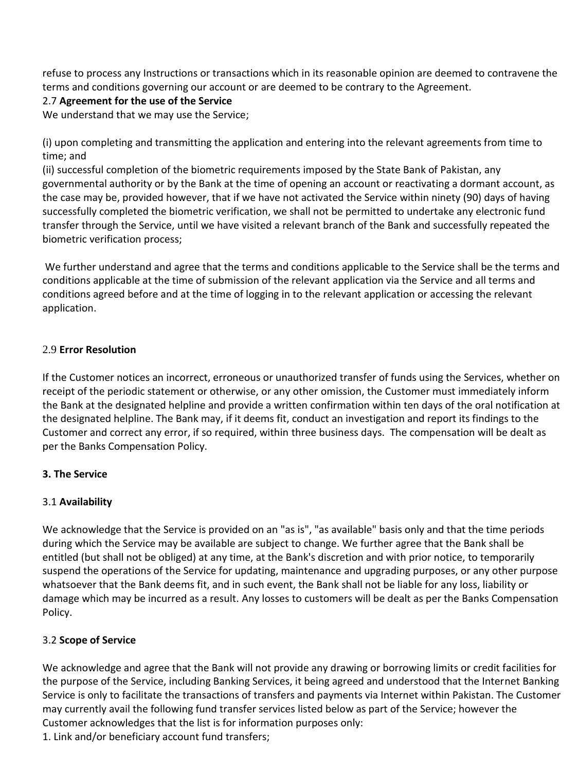refuse to process any Instructions or transactions which in its reasonable opinion are deemed to contravene the terms and conditions governing our account or are deemed to be contrary to the Agreement.

### 2.7 **Agreement for the use of the Service**

We understand that we may use the Service;

(i) upon completing and transmitting the application and entering into the relevant agreements from time to time; and

(ii) successful completion of the biometric requirements imposed by the State Bank of Pakistan, any governmental authority or by the Bank at the time of opening an account or reactivating a dormant account, as the case may be, provided however, that if we have not activated the Service within ninety (90) days of having successfully completed the biometric verification, we shall not be permitted to undertake any electronic fund transfer through the Service, until we have visited a relevant branch of the Bank and successfully repeated the biometric verification process;

We further understand and agree that the terms and conditions applicable to the Service shall be the terms and conditions applicable at the time of submission of the relevant application via the Service and all terms and conditions agreed before and at the time of logging in to the relevant application or accessing the relevant application.

### 2.9 **Error Resolution**

If the Customer notices an incorrect, erroneous or unauthorized transfer of funds using the Services, whether on receipt of the periodic statement or otherwise, or any other omission, the Customer must immediately inform the Bank at the designated helpline and provide a written confirmation within ten days of the oral notification at the designated helpline. The Bank may, if it deems fit, conduct an investigation and report its findings to the Customer and correct any error, if so required, within three business days. The compensation will be dealt as per the Banks Compensation Policy.

## **3. The Service**

## 3.1 **Availability**

We acknowledge that the Service is provided on an "as is", "as available" basis only and that the time periods during which the Service may be available are subject to change. We further agree that the Bank shall be entitled (but shall not be obliged) at any time, at the Bank's discretion and with prior notice, to temporarily suspend the operations of the Service for updating, maintenance and upgrading purposes, or any other purpose whatsoever that the Bank deems fit, and in such event, the Bank shall not be liable for any loss, liability or damage which may be incurred as a result. Any losses to customers will be dealt as per the Banks Compensation Policy.

## 3.2 **Scope of Service**

We acknowledge and agree that the Bank will not provide any drawing or borrowing limits or credit facilities for the purpose of the Service, including Banking Services, it being agreed and understood that the Internet Banking Service is only to facilitate the transactions of transfers and payments via Internet within Pakistan. The Customer may currently avail the following fund transfer services listed below as part of the Service; however the Customer acknowledges that the list is for information purposes only:

1. Link and/or beneficiary account fund transfers;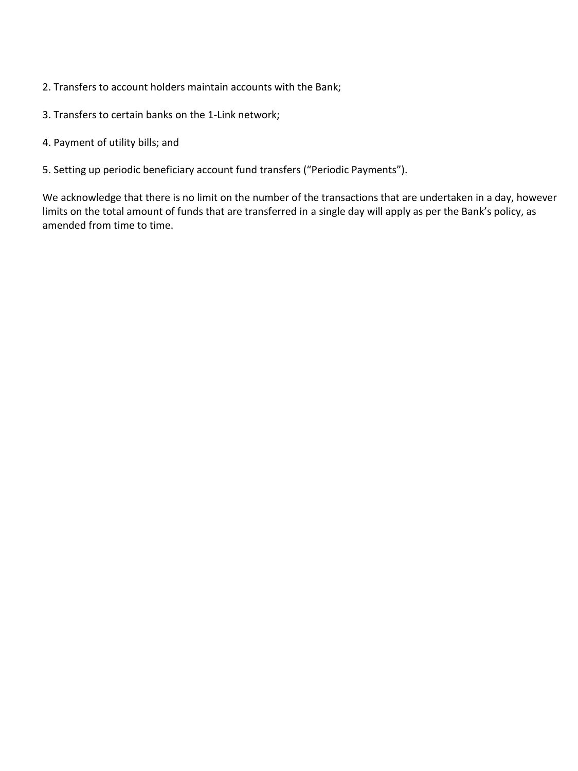- 2. Transfers to account holders maintain accounts with the Bank;
- 3. Transfers to certain banks on the 1-Link network;
- 4. Payment of utility bills; and
- 5. Setting up periodic beneficiary account fund transfers ("Periodic Payments").

We acknowledge that there is no limit on the number of the transactions that are undertaken in a day, however limits on the total amount of funds that are transferred in a single day will apply as per the Bank's policy, as amended from time to time.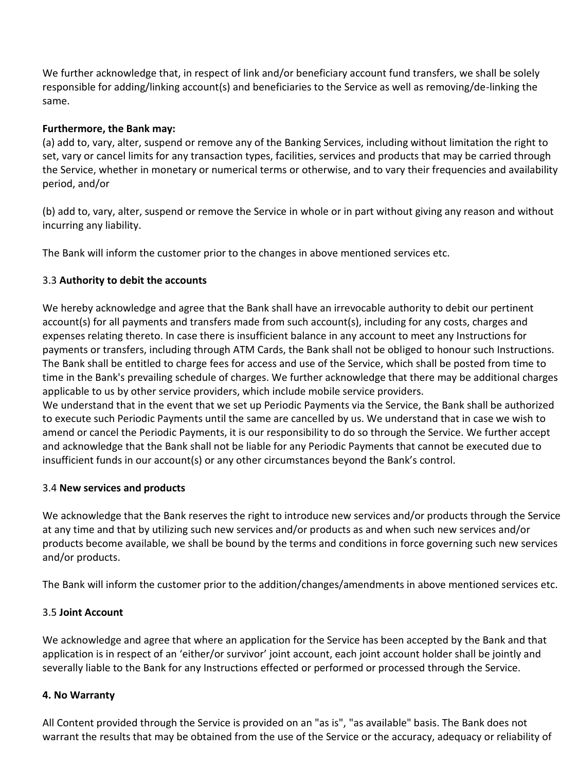We further acknowledge that, in respect of link and/or beneficiary account fund transfers, we shall be solely responsible for adding/linking account(s) and beneficiaries to the Service as well as removing/de-linking the same.

#### **Furthermore, the Bank may:**

(a) add to, vary, alter, suspend or remove any of the Banking Services, including without limitation the right to set, vary or cancel limits for any transaction types, facilities, services and products that may be carried through the Service, whether in monetary or numerical terms or otherwise, and to vary their frequencies and availability period, and/or

(b) add to, vary, alter, suspend or remove the Service in whole or in part without giving any reason and without incurring any liability.

The Bank will inform the customer prior to the changes in above mentioned services etc.

### 3.3 **Authority to debit the accounts**

We hereby acknowledge and agree that the Bank shall have an irrevocable authority to debit our pertinent account(s) for all payments and transfers made from such account(s), including for any costs, charges and expenses relating thereto. In case there is insufficient balance in any account to meet any Instructions for payments or transfers, including through ATM Cards, the Bank shall not be obliged to honour such Instructions. The Bank shall be entitled to charge fees for access and use of the Service, which shall be posted from time to time in the Bank's prevailing schedule of charges. We further acknowledge that there may be additional charges applicable to us by other service providers, which include mobile service providers.

We understand that in the event that we set up Periodic Payments via the Service, the Bank shall be authorized to execute such Periodic Payments until the same are cancelled by us. We understand that in case we wish to amend or cancel the Periodic Payments, it is our responsibility to do so through the Service. We further accept and acknowledge that the Bank shall not be liable for any Periodic Payments that cannot be executed due to insufficient funds in our account(s) or any other circumstances beyond the Bank's control.

#### 3.4 **New services and products**

We acknowledge that the Bank reserves the right to introduce new services and/or products through the Service at any time and that by utilizing such new services and/or products as and when such new services and/or products become available, we shall be bound by the terms and conditions in force governing such new services and/or products.

The Bank will inform the customer prior to the addition/changes/amendments in above mentioned services etc.

#### 3.5 **Joint Account**

We acknowledge and agree that where an application for the Service has been accepted by the Bank and that application is in respect of an 'either/or survivor' joint account, each joint account holder shall be jointly and severally liable to the Bank for any Instructions effected or performed or processed through the Service.

#### **4. No Warranty**

All Content provided through the Service is provided on an "as is", "as available" basis. The Bank does not warrant the results that may be obtained from the use of the Service or the accuracy, adequacy or reliability of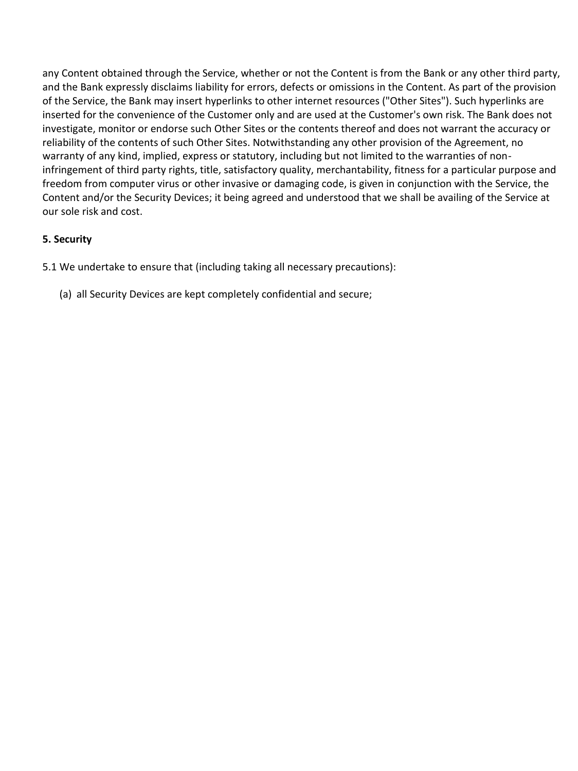any Content obtained through the Service, whether or not the Content is from the Bank or any other third party, and the Bank expressly disclaims liability for errors, defects or omissions in the Content. As part of the provision of the Service, the Bank may insert hyperlinks to other internet resources ("Other Sites"). Such hyperlinks are inserted for the convenience of the Customer only and are used at the Customer's own risk. The Bank does not investigate, monitor or endorse such Other Sites or the contents thereof and does not warrant the accuracy or reliability of the contents of such Other Sites. Notwithstanding any other provision of the Agreement, no warranty of any kind, implied, express or statutory, including but not limited to the warranties of noninfringement of third party rights, title, satisfactory quality, merchantability, fitness for a particular purpose and freedom from computer virus or other invasive or damaging code, is given in conjunction with the Service, the Content and/or the Security Devices; it being agreed and understood that we shall be availing of the Service at our sole risk and cost.

## **5. Security**

5.1 We undertake to ensure that (including taking all necessary precautions):

(a) all Security Devices are kept completely confidential and secure;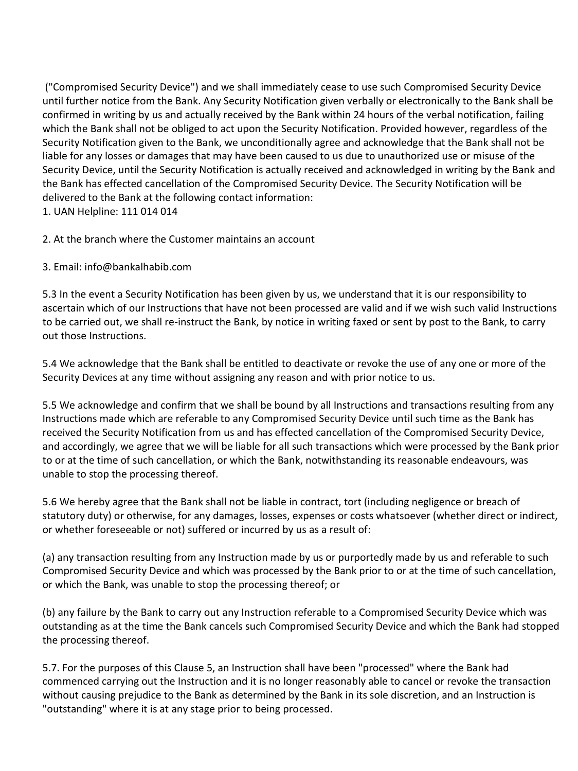("Compromised Security Device") and we shall immediately cease to use such Compromised Security Device until further notice from the Bank. Any Security Notification given verbally or electronically to the Bank shall be confirmed in writing by us and actually received by the Bank within 24 hours of the verbal notification, failing which the Bank shall not be obliged to act upon the Security Notification. Provided however, regardless of the Security Notification given to the Bank, we unconditionally agree and acknowledge that the Bank shall not be liable for any losses or damages that may have been caused to us due to unauthorized use or misuse of the Security Device, until the Security Notification is actually received and acknowledged in writing by the Bank and the Bank has effected cancellation of the Compromised Security Device. The Security Notification will be delivered to the Bank at the following contact information:

1. UAN Helpline: 111 014 014

2. At the branch where the Customer maintains an account

3. Email: info@bankalhabib.com

5.3 In the event a Security Notification has been given by us, we understand that it is our responsibility to ascertain which of our Instructions that have not been processed are valid and if we wish such valid Instructions to be carried out, we shall re-instruct the Bank, by notice in writing faxed or sent by post to the Bank, to carry out those Instructions.

5.4 We acknowledge that the Bank shall be entitled to deactivate or revoke the use of any one or more of the Security Devices at any time without assigning any reason and with prior notice to us.

5.5 We acknowledge and confirm that we shall be bound by all Instructions and transactions resulting from any Instructions made which are referable to any Compromised Security Device until such time as the Bank has received the Security Notification from us and has effected cancellation of the Compromised Security Device, and accordingly, we agree that we will be liable for all such transactions which were processed by the Bank prior to or at the time of such cancellation, or which the Bank, notwithstanding its reasonable endeavours, was unable to stop the processing thereof.

5.6 We hereby agree that the Bank shall not be liable in contract, tort (including negligence or breach of statutory duty) or otherwise, for any damages, losses, expenses or costs whatsoever (whether direct or indirect, or whether foreseeable or not) suffered or incurred by us as a result of:

(a) any transaction resulting from any Instruction made by us or purportedly made by us and referable to such Compromised Security Device and which was processed by the Bank prior to or at the time of such cancellation, or which the Bank, was unable to stop the processing thereof; or

(b) any failure by the Bank to carry out any Instruction referable to a Compromised Security Device which was outstanding as at the time the Bank cancels such Compromised Security Device and which the Bank had stopped the processing thereof.

5.7. For the purposes of this Clause 5, an Instruction shall have been "processed" where the Bank had commenced carrying out the Instruction and it is no longer reasonably able to cancel or revoke the transaction without causing prejudice to the Bank as determined by the Bank in its sole discretion, and an Instruction is "outstanding" where it is at any stage prior to being processed.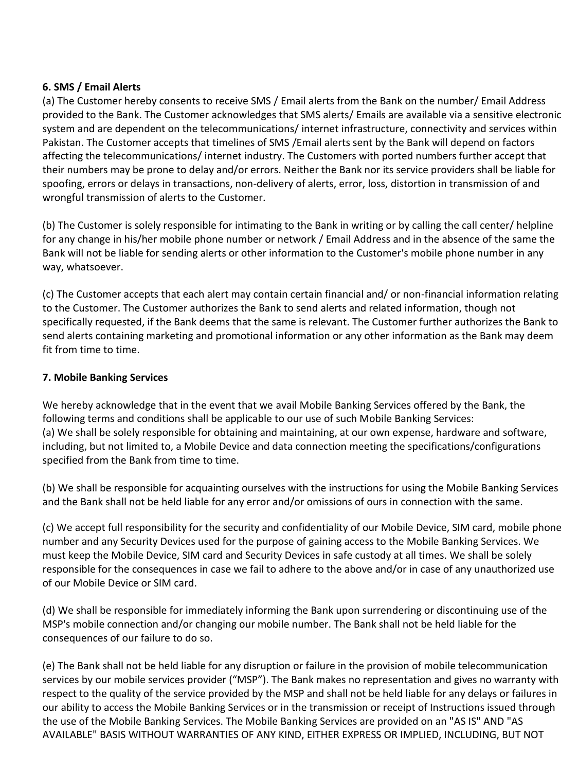#### **6. SMS / Email Alerts**

(a) The Customer hereby consents to receive SMS / Email alerts from the Bank on the number/ Email Address provided to the Bank. The Customer acknowledges that SMS alerts/ Emails are available via a sensitive electronic system and are dependent on the telecommunications/ internet infrastructure, connectivity and services within Pakistan. The Customer accepts that timelines of SMS /Email alerts sent by the Bank will depend on factors affecting the telecommunications/ internet industry. The Customers with ported numbers further accept that their numbers may be prone to delay and/or errors. Neither the Bank nor its service providers shall be liable for spoofing, errors or delays in transactions, non-delivery of alerts, error, loss, distortion in transmission of and wrongful transmission of alerts to the Customer.

(b) The Customer is solely responsible for intimating to the Bank in writing or by calling the call center/ helpline for any change in his/her mobile phone number or network / Email Address and in the absence of the same the Bank will not be liable for sending alerts or other information to the Customer's mobile phone number in any way, whatsoever.

(c) The Customer accepts that each alert may contain certain financial and/ or non-financial information relating to the Customer. The Customer authorizes the Bank to send alerts and related information, though not specifically requested, if the Bank deems that the same is relevant. The Customer further authorizes the Bank to send alerts containing marketing and promotional information or any other information as the Bank may deem fit from time to time.

### **7. Mobile Banking Services**

We hereby acknowledge that in the event that we avail Mobile Banking Services offered by the Bank, the following terms and conditions shall be applicable to our use of such Mobile Banking Services: (a) We shall be solely responsible for obtaining and maintaining, at our own expense, hardware and software, including, but not limited to, a Mobile Device and data connection meeting the specifications/configurations specified from the Bank from time to time.

(b) We shall be responsible for acquainting ourselves with the instructions for using the Mobile Banking Services and the Bank shall not be held liable for any error and/or omissions of ours in connection with the same.

(c) We accept full responsibility for the security and confidentiality of our Mobile Device, SIM card, mobile phone number and any Security Devices used for the purpose of gaining access to the Mobile Banking Services. We must keep the Mobile Device, SIM card and Security Devices in safe custody at all times. We shall be solely responsible for the consequences in case we fail to adhere to the above and/or in case of any unauthorized use of our Mobile Device or SIM card.

(d) We shall be responsible for immediately informing the Bank upon surrendering or discontinuing use of the MSP's mobile connection and/or changing our mobile number. The Bank shall not be held liable for the consequences of our failure to do so.

(e) The Bank shall not be held liable for any disruption or failure in the provision of mobile telecommunication services by our mobile services provider ("MSP"). The Bank makes no representation and gives no warranty with respect to the quality of the service provided by the MSP and shall not be held liable for any delays or failures in our ability to access the Mobile Banking Services or in the transmission or receipt of Instructions issued through the use of the Mobile Banking Services. The Mobile Banking Services are provided on an "AS IS" AND "AS AVAILABLE" BASIS WITHOUT WARRANTIES OF ANY KIND, EITHER EXPRESS OR IMPLIED, INCLUDING, BUT NOT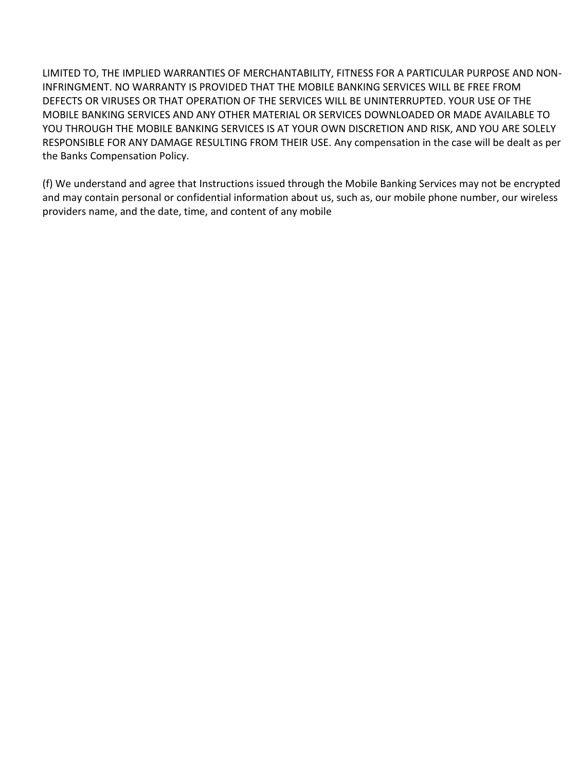LIMITED TO, THE IMPLIED WARRANTIES OF MERCHANTABILITY, FITNESS FOR A PARTICULAR PURPOSE AND NON-INFRINGMENT. NO WARRANTY IS PROVIDED THAT THE MOBILE BANKING SERVICES WILL BE FREE FROM DEFECTS OR VIRUSES OR THAT OPERATION OF THE SERVICES WILL BE UNINTERRUPTED. YOUR USE OF THE MOBILE BANKING SERVICES AND ANY OTHER MATERIAL OR SERVICES DOWNLOADED OR MADE AVAILABLE TO YOU THROUGH THE MOBILE BANKING SERVICES IS AT YOUR OWN DISCRETION AND RISK, AND YOU ARE SOLELY RESPONSIBLE FOR ANY DAMAGE RESULTING FROM THEIR USE. Any compensation in the case will be dealt as per the Banks Compensation Policy.

(f) We understand and agree that Instructions issued through the Mobile Banking Services may not be encrypted and may contain personal or confidential information about us, such as, our mobile phone number, our wireless providers name, and the date, time, and content of any mobile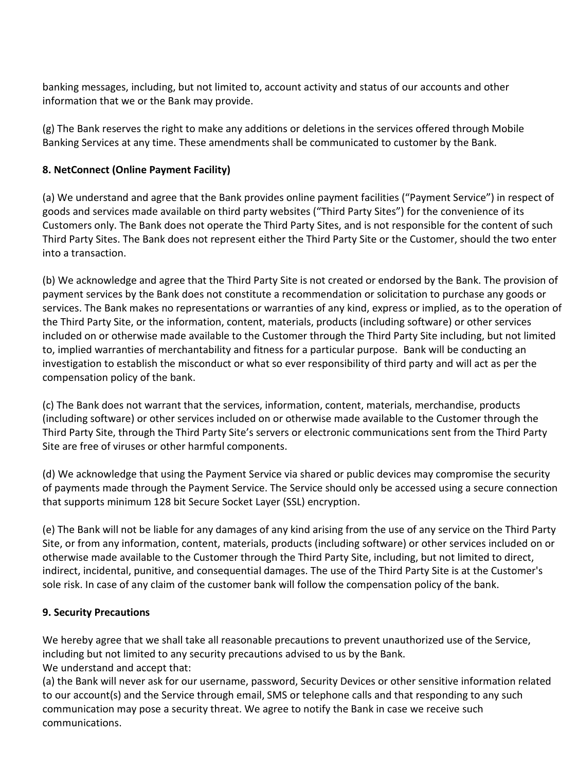banking messages, including, but not limited to, account activity and status of our accounts and other information that we or the Bank may provide.

(g) The Bank reserves the right to make any additions or deletions in the services offered through Mobile Banking Services at any time. These amendments shall be communicated to customer by the Bank.

# **8. NetConnect (Online Payment Facility)**

(a) We understand and agree that the Bank provides online payment facilities ("Payment Service") in respect of goods and services made available on third party websites ("Third Party Sites") for the convenience of its Customers only. The Bank does not operate the Third Party Sites, and is not responsible for the content of such Third Party Sites. The Bank does not represent either the Third Party Site or the Customer, should the two enter into a transaction.

(b) We acknowledge and agree that the Third Party Site is not created or endorsed by the Bank. The provision of payment services by the Bank does not constitute a recommendation or solicitation to purchase any goods or services. The Bank makes no representations or warranties of any kind, express or implied, as to the operation of the Third Party Site, or the information, content, materials, products (including software) or other services included on or otherwise made available to the Customer through the Third Party Site including, but not limited to, implied warranties of merchantability and fitness for a particular purpose. Bank will be conducting an investigation to establish the misconduct or what so ever responsibility of third party and will act as per the compensation policy of the bank.

(c) The Bank does not warrant that the services, information, content, materials, merchandise, products (including software) or other services included on or otherwise made available to the Customer through the Third Party Site, through the Third Party Site's servers or electronic communications sent from the Third Party Site are free of viruses or other harmful components.

(d) We acknowledge that using the Payment Service via shared or public devices may compromise the security of payments made through the Payment Service. The Service should only be accessed using a secure connection that supports minimum 128 bit Secure Socket Layer (SSL) encryption.

(e) The Bank will not be liable for any damages of any kind arising from the use of any service on the Third Party Site, or from any information, content, materials, products (including software) or other services included on or otherwise made available to the Customer through the Third Party Site, including, but not limited to direct, indirect, incidental, punitive, and consequential damages. The use of the Third Party Site is at the Customer's sole risk. In case of any claim of the customer bank will follow the compensation policy of the bank.

## **9. Security Precautions**

We hereby agree that we shall take all reasonable precautions to prevent unauthorized use of the Service, including but not limited to any security precautions advised to us by the Bank. We understand and accept that:

(a) the Bank will never ask for our username, password, Security Devices or other sensitive information related to our account(s) and the Service through email, SMS or telephone calls and that responding to any such communication may pose a security threat. We agree to notify the Bank in case we receive such communications.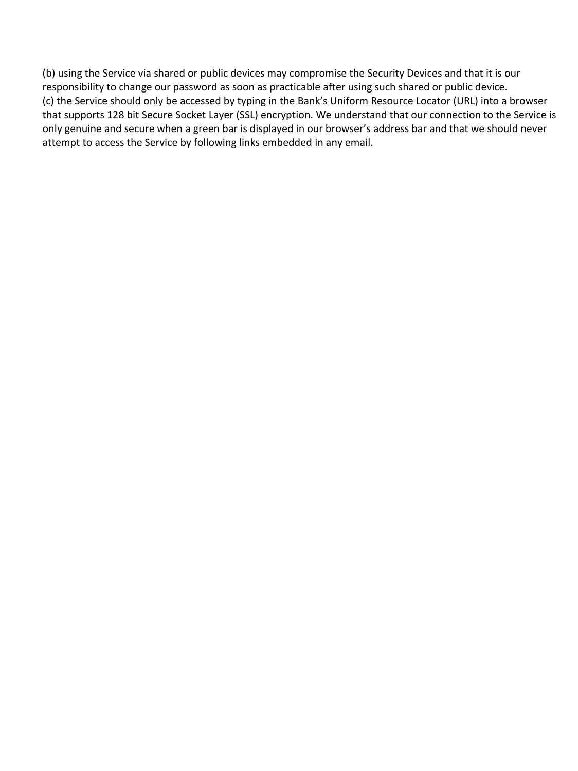(b) using the Service via shared or public devices may compromise the Security Devices and that it is our responsibility to change our password as soon as practicable after using such shared or public device. (c) the Service should only be accessed by typing in the Bank's Uniform Resource Locator (URL) into a browser that supports 128 bit Secure Socket Layer (SSL) encryption. We understand that our connection to the Service is only genuine and secure when a green bar is displayed in our browser's address bar and that we should never attempt to access the Service by following links embedded in any email.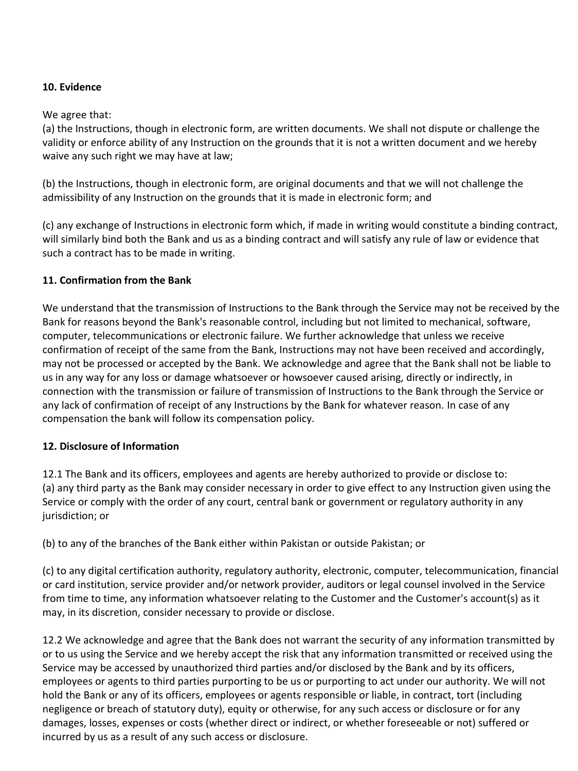### **10. Evidence**

#### We agree that:

(a) the Instructions, though in electronic form, are written documents. We shall not dispute or challenge the validity or enforce ability of any Instruction on the grounds that it is not a written document and we hereby waive any such right we may have at law;

(b) the Instructions, though in electronic form, are original documents and that we will not challenge the admissibility of any Instruction on the grounds that it is made in electronic form; and

(c) any exchange of Instructions in electronic form which, if made in writing would constitute a binding contract, will similarly bind both the Bank and us as a binding contract and will satisfy any rule of law or evidence that such a contract has to be made in writing.

### **11. Confirmation from the Bank**

We understand that the transmission of Instructions to the Bank through the Service may not be received by the Bank for reasons beyond the Bank's reasonable control, including but not limited to mechanical, software, computer, telecommunications or electronic failure. We further acknowledge that unless we receive confirmation of receipt of the same from the Bank, Instructions may not have been received and accordingly, may not be processed or accepted by the Bank. We acknowledge and agree that the Bank shall not be liable to us in any way for any loss or damage whatsoever or howsoever caused arising, directly or indirectly, in connection with the transmission or failure of transmission of Instructions to the Bank through the Service or any lack of confirmation of receipt of any Instructions by the Bank for whatever reason. In case of any compensation the bank will follow its compensation policy.

## **12. Disclosure of Information**

12.1 The Bank and its officers, employees and agents are hereby authorized to provide or disclose to: (a) any third party as the Bank may consider necessary in order to give effect to any Instruction given using the Service or comply with the order of any court, central bank or government or regulatory authority in any jurisdiction; or

(b) to any of the branches of the Bank either within Pakistan or outside Pakistan; or

(c) to any digital certification authority, regulatory authority, electronic, computer, telecommunication, financial or card institution, service provider and/or network provider, auditors or legal counsel involved in the Service from time to time, any information whatsoever relating to the Customer and the Customer's account(s) as it may, in its discretion, consider necessary to provide or disclose.

12.2 We acknowledge and agree that the Bank does not warrant the security of any information transmitted by or to us using the Service and we hereby accept the risk that any information transmitted or received using the Service may be accessed by unauthorized third parties and/or disclosed by the Bank and by its officers, employees or agents to third parties purporting to be us or purporting to act under our authority. We will not hold the Bank or any of its officers, employees or agents responsible or liable, in contract, tort (including negligence or breach of statutory duty), equity or otherwise, for any such access or disclosure or for any damages, losses, expenses or costs (whether direct or indirect, or whether foreseeable or not) suffered or incurred by us as a result of any such access or disclosure.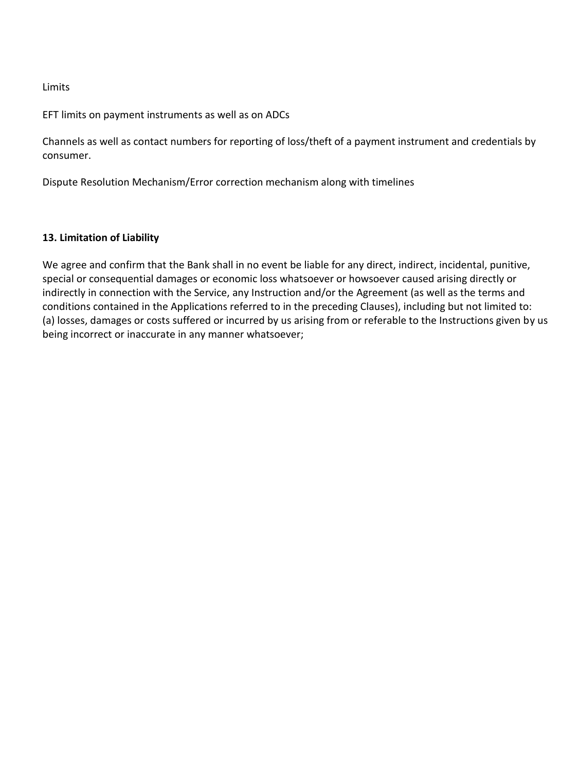#### Limits

EFT limits on payment instruments as well as on ADCs

Channels as well as contact numbers for reporting of loss/theft of a payment instrument and credentials by consumer.

Dispute Resolution Mechanism/Error correction mechanism along with timelines

#### **13. Limitation of Liability**

We agree and confirm that the Bank shall in no event be liable for any direct, indirect, incidental, punitive, special or consequential damages or economic loss whatsoever or howsoever caused arising directly or indirectly in connection with the Service, any Instruction and/or the Agreement (as well as the terms and conditions contained in the Applications referred to in the preceding Clauses), including but not limited to: (a) losses, damages or costs suffered or incurred by us arising from or referable to the Instructions given by us being incorrect or inaccurate in any manner whatsoever;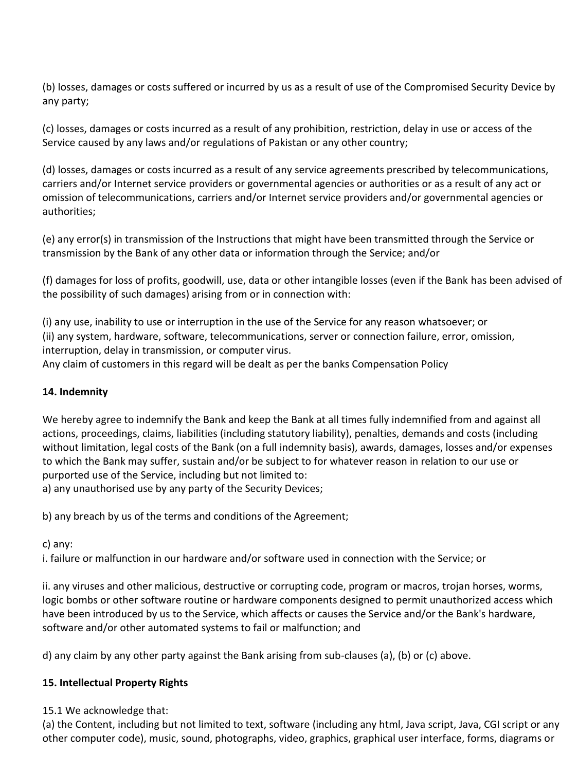(b) losses, damages or costs suffered or incurred by us as a result of use of the Compromised Security Device by any party;

(c) losses, damages or costs incurred as a result of any prohibition, restriction, delay in use or access of the Service caused by any laws and/or regulations of Pakistan or any other country;

(d) losses, damages or costs incurred as a result of any service agreements prescribed by telecommunications, carriers and/or Internet service providers or governmental agencies or authorities or as a result of any act or omission of telecommunications, carriers and/or Internet service providers and/or governmental agencies or authorities;

(e) any error(s) in transmission of the Instructions that might have been transmitted through the Service or transmission by the Bank of any other data or information through the Service; and/or

(f) damages for loss of profits, goodwill, use, data or other intangible losses (even if the Bank has been advised of the possibility of such damages) arising from or in connection with:

(i) any use, inability to use or interruption in the use of the Service for any reason whatsoever; or (ii) any system, hardware, software, telecommunications, server or connection failure, error, omission, interruption, delay in transmission, or computer virus.

Any claim of customers in this regard will be dealt as per the banks Compensation Policy

### **14. Indemnity**

We hereby agree to indemnify the Bank and keep the Bank at all times fully indemnified from and against all actions, proceedings, claims, liabilities (including statutory liability), penalties, demands and costs (including without limitation, legal costs of the Bank (on a full indemnity basis), awards, damages, losses and/or expenses to which the Bank may suffer, sustain and/or be subject to for whatever reason in relation to our use or purported use of the Service, including but not limited to:

a) any unauthorised use by any party of the Security Devices;

b) any breach by us of the terms and conditions of the Agreement;

#### c) any:

i. failure or malfunction in our hardware and/or software used in connection with the Service; or

ii. any viruses and other malicious, destructive or corrupting code, program or macros, trojan horses, worms, logic bombs or other software routine or hardware components designed to permit unauthorized access which have been introduced by us to the Service, which affects or causes the Service and/or the Bank's hardware, software and/or other automated systems to fail or malfunction; and

d) any claim by any other party against the Bank arising from sub-clauses (a), (b) or (c) above.

## **15. Intellectual Property Rights**

15.1 We acknowledge that:

(a) the Content, including but not limited to text, software (including any html, Java script, Java, CGI script or any other computer code), music, sound, photographs, video, graphics, graphical user interface, forms, diagrams or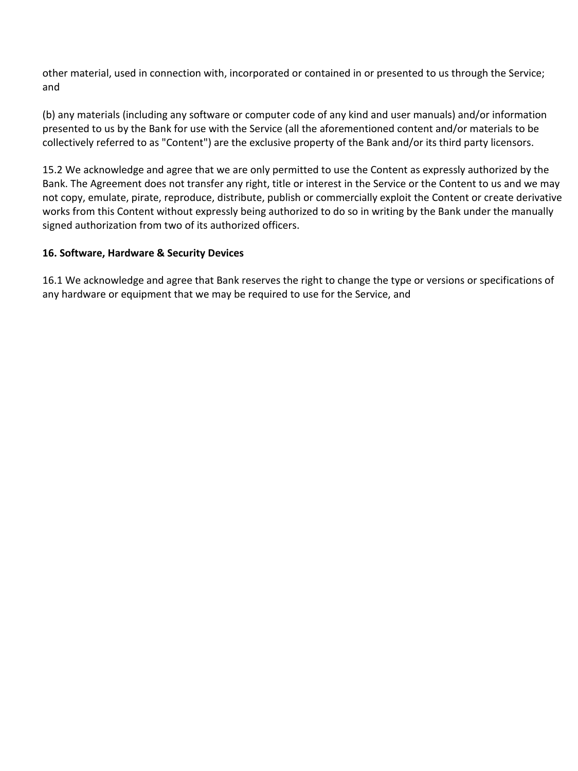other material, used in connection with, incorporated or contained in or presented to us through the Service; and

(b) any materials (including any software or computer code of any kind and user manuals) and/or information presented to us by the Bank for use with the Service (all the aforementioned content and/or materials to be collectively referred to as "Content") are the exclusive property of the Bank and/or its third party licensors.

15.2 We acknowledge and agree that we are only permitted to use the Content as expressly authorized by the Bank. The Agreement does not transfer any right, title or interest in the Service or the Content to us and we may not copy, emulate, pirate, reproduce, distribute, publish or commercially exploit the Content or create derivative works from this Content without expressly being authorized to do so in writing by the Bank under the manually signed authorization from two of its authorized officers.

### **16. Software, Hardware & Security Devices**

16.1 We acknowledge and agree that Bank reserves the right to change the type or versions or specifications of any hardware or equipment that we may be required to use for the Service, and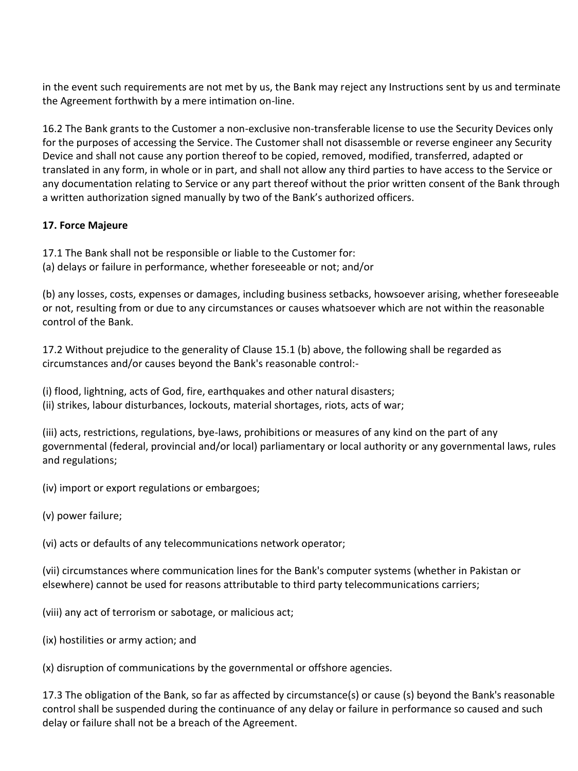in the event such requirements are not met by us, the Bank may reject any Instructions sent by us and terminate the Agreement forthwith by a mere intimation on-line.

16.2 The Bank grants to the Customer a non-exclusive non-transferable license to use the Security Devices only for the purposes of accessing the Service. The Customer shall not disassemble or reverse engineer any Security Device and shall not cause any portion thereof to be copied, removed, modified, transferred, adapted or translated in any form, in whole or in part, and shall not allow any third parties to have access to the Service or any documentation relating to Service or any part thereof without the prior written consent of the Bank through a written authorization signed manually by two of the Bank's authorized officers.

## **17. Force Majeure**

- 17.1 The Bank shall not be responsible or liable to the Customer for:
- (a) delays or failure in performance, whether foreseeable or not; and/or

(b) any losses, costs, expenses or damages, including business setbacks, howsoever arising, whether foreseeable or not, resulting from or due to any circumstances or causes whatsoever which are not within the reasonable control of the Bank.

17.2 Without prejudice to the generality of Clause 15.1 (b) above, the following shall be regarded as circumstances and/or causes beyond the Bank's reasonable control:-

(i) flood, lightning, acts of God, fire, earthquakes and other natural disasters; (ii) strikes, labour disturbances, lockouts, material shortages, riots, acts of war;

(iii) acts, restrictions, regulations, bye-laws, prohibitions or measures of any kind on the part of any governmental (federal, provincial and/or local) parliamentary or local authority or any governmental laws, rules and regulations;

(iv) import or export regulations or embargoes;

(v) power failure;

(vi) acts or defaults of any telecommunications network operator;

(vii) circumstances where communication lines for the Bank's computer systems (whether in Pakistan or elsewhere) cannot be used for reasons attributable to third party telecommunications carriers;

(viii) any act of terrorism or sabotage, or malicious act;

(ix) hostilities or army action; and

(x) disruption of communications by the governmental or offshore agencies.

17.3 The obligation of the Bank, so far as affected by circumstance(s) or cause (s) beyond the Bank's reasonable control shall be suspended during the continuance of any delay or failure in performance so caused and such delay or failure shall not be a breach of the Agreement.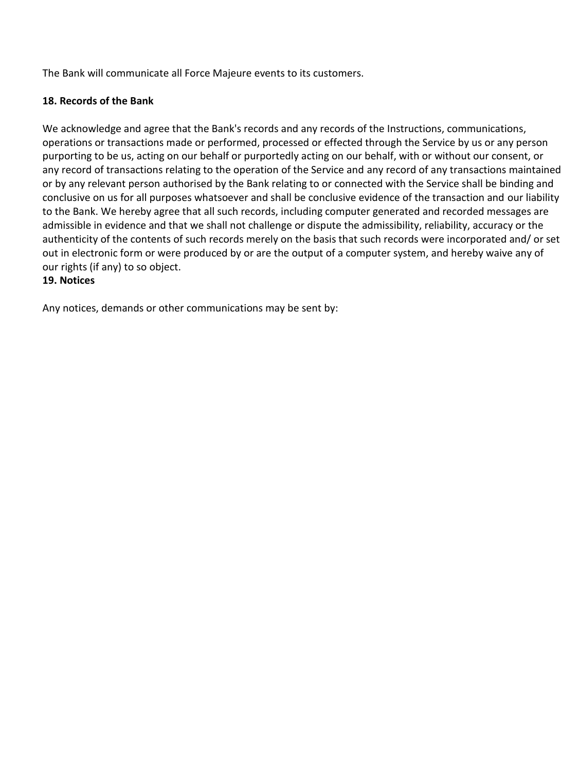The Bank will communicate all Force Majeure events to its customers.

### **18. Records of the Bank**

We acknowledge and agree that the Bank's records and any records of the Instructions, communications, operations or transactions made or performed, processed or effected through the Service by us or any person purporting to be us, acting on our behalf or purportedly acting on our behalf, with or without our consent, or any record of transactions relating to the operation of the Service and any record of any transactions maintained or by any relevant person authorised by the Bank relating to or connected with the Service shall be binding and conclusive on us for all purposes whatsoever and shall be conclusive evidence of the transaction and our liability to the Bank. We hereby agree that all such records, including computer generated and recorded messages are admissible in evidence and that we shall not challenge or dispute the admissibility, reliability, accuracy or the authenticity of the contents of such records merely on the basis that such records were incorporated and/ or set out in electronic form or were produced by or are the output of a computer system, and hereby waive any of our rights (if any) to so object.

### **19. Notices**

Any notices, demands or other communications may be sent by: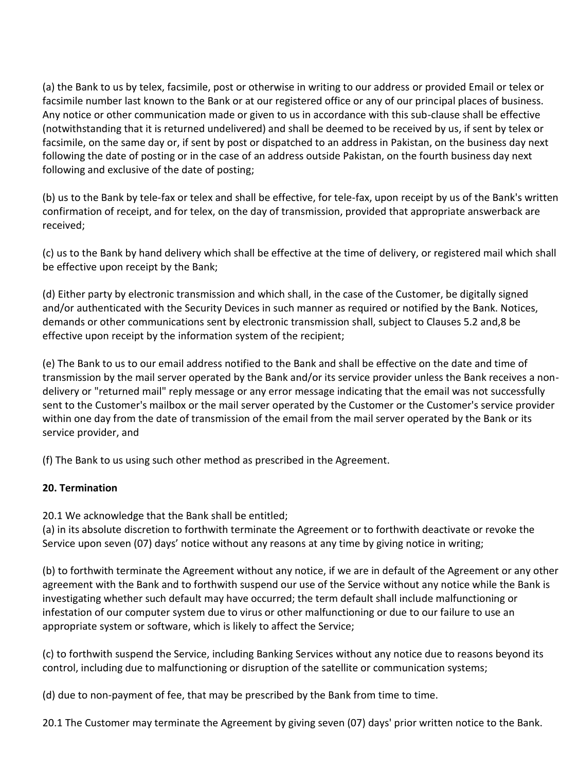(a) the Bank to us by telex, facsimile, post or otherwise in writing to our address or provided Email or telex or facsimile number last known to the Bank or at our registered office or any of our principal places of business. Any notice or other communication made or given to us in accordance with this sub-clause shall be effective (notwithstanding that it is returned undelivered) and shall be deemed to be received by us, if sent by telex or facsimile, on the same day or, if sent by post or dispatched to an address in Pakistan, on the business day next following the date of posting or in the case of an address outside Pakistan, on the fourth business day next following and exclusive of the date of posting;

(b) us to the Bank by tele-fax or telex and shall be effective, for tele-fax, upon receipt by us of the Bank's written confirmation of receipt, and for telex, on the day of transmission, provided that appropriate answerback are received;

(c) us to the Bank by hand delivery which shall be effective at the time of delivery, or registered mail which shall be effective upon receipt by the Bank;

(d) Either party by electronic transmission and which shall, in the case of the Customer, be digitally signed and/or authenticated with the Security Devices in such manner as required or notified by the Bank. Notices, demands or other communications sent by electronic transmission shall, subject to Clauses 5.2 and,8 be effective upon receipt by the information system of the recipient;

(e) The Bank to us to our email address notified to the Bank and shall be effective on the date and time of transmission by the mail server operated by the Bank and/or its service provider unless the Bank receives a nondelivery or "returned mail" reply message or any error message indicating that the email was not successfully sent to the Customer's mailbox or the mail server operated by the Customer or the Customer's service provider within one day from the date of transmission of the email from the mail server operated by the Bank or its service provider, and

(f) The Bank to us using such other method as prescribed in the Agreement.

# **20. Termination**

20.1 We acknowledge that the Bank shall be entitled;

(a) in its absolute discretion to forthwith terminate the Agreement or to forthwith deactivate or revoke the Service upon seven (07) days' notice without any reasons at any time by giving notice in writing;

(b) to forthwith terminate the Agreement without any notice, if we are in default of the Agreement or any other agreement with the Bank and to forthwith suspend our use of the Service without any notice while the Bank is investigating whether such default may have occurred; the term default shall include malfunctioning or infestation of our computer system due to virus or other malfunctioning or due to our failure to use an appropriate system or software, which is likely to affect the Service;

(c) to forthwith suspend the Service, including Banking Services without any notice due to reasons beyond its control, including due to malfunctioning or disruption of the satellite or communication systems;

(d) due to non-payment of fee, that may be prescribed by the Bank from time to time.

20.1 The Customer may terminate the Agreement by giving seven (07) days' prior written notice to the Bank.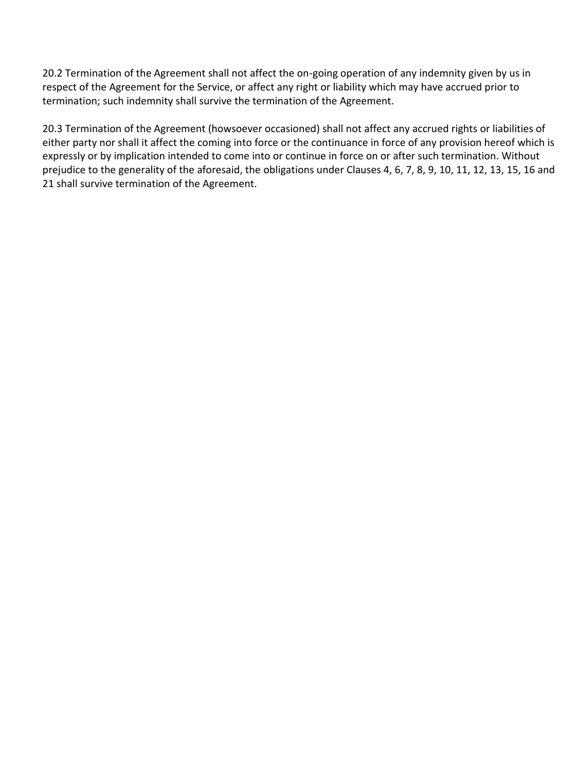20.2 Termination of the Agreement shall not affect the on-going operation of any indemnity given by us in respect of the Agreement for the Service, or affect any right or liability which may have accrued prior to termination; such indemnity shall survive the termination of the Agreement.

20.3 Termination of the Agreement (howsoever occasioned) shall not affect any accrued rights or liabilities of either party nor shall it affect the coming into force or the continuance in force of any provision hereof which is expressly or by implication intended to come into or continue in force on or after such termination. Without prejudice to the generality of the aforesaid, the obligations under Clauses 4, 6, 7, 8, 9, 10, 11, 12, 13, 15, 16 and 21 shall survive termination of the Agreement.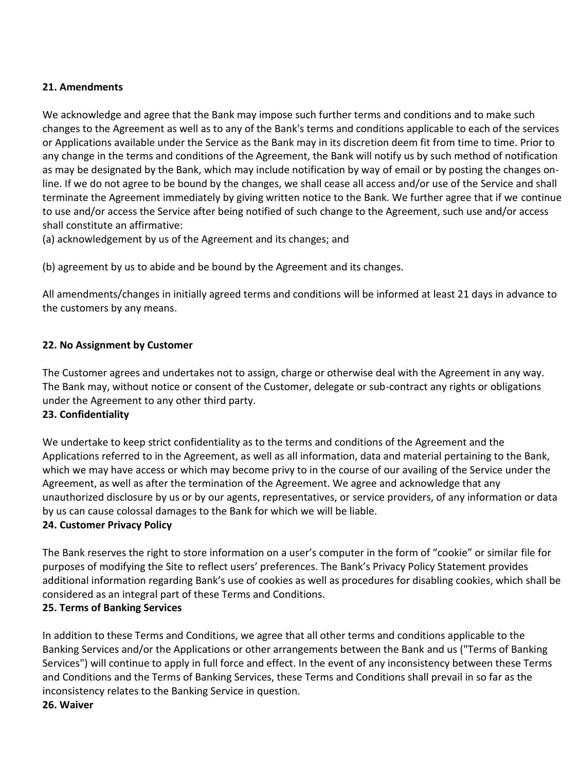### **21. Amendments**

We acknowledge and agree that the Bank may impose such further terms and conditions and to make such changes to the Agreement as well as to any of the Bank's terms and conditions applicable to each of the services or Applications available under the Service as the Bank may in its discretion deem fit from time to time. Prior to any change in the terms and conditions of the Agreement, the Bank will notify us by such method of notification as may be designated by the Bank, which may include notification by way of email or by posting the changes online. If we do not agree to be bound by the changes, we shall cease all access and/or use of the Service and shall terminate the Agreement immediately by giving written notice to the Bank. We further agree that if we continue to use and/or access the Service after being notified of such change to the Agreement, such use and/or access shall constitute an affirmative:

(a) acknowledgement by us of the Agreement and its changes; and

(b) agreement by us to abide and be bound by the Agreement and its changes.

All amendments/changes in initially agreed terms and conditions will be informed at least 21 days in advance to the customers by any means.

## **22. No Assignment by Customer**

The Customer agrees and undertakes not to assign, charge or otherwise deal with the Agreement in any way. The Bank may, without notice or consent of the Customer, delegate or sub-contract any rights or obligations under the Agreement to any other third party.

#### **23. Confidentiality**

We undertake to keep strict confidentiality as to the terms and conditions of the Agreement and the Applications referred to in the Agreement, as well as all information, data and material pertaining to the Bank, which we may have access or which may become privy to in the course of our availing of the Service under the Agreement, as well as after the termination of the Agreement. We agree and acknowledge that any unauthorized disclosure by us or by our agents, representatives, or service providers, of any information or data by us can cause colossal damages to the Bank for which we will be liable.

## **24. Customer Privacy Policy**

The Bank reserves the right to store information on a user's computer in the form of "cookie" or similar file for purposes of modifying the Site to reflect users' preferences. The Bank's Privacy Policy Statement provides additional information regarding Bank's use of cookies as well as procedures for disabling cookies, which shall be considered as an integral part of these Terms and Conditions.

## **25. Terms of Banking Services**

In addition to these Terms and Conditions, we agree that all other terms and conditions applicable to the Banking Services and/or the Applications or other arrangements between the Bank and us ("Terms of Banking Services") will continue to apply in full force and effect. In the event of any inconsistency between these Terms and Conditions and the Terms of Banking Services, these Terms and Conditions shall prevail in so far as the inconsistency relates to the Banking Service in question.

#### **26. Waiver**